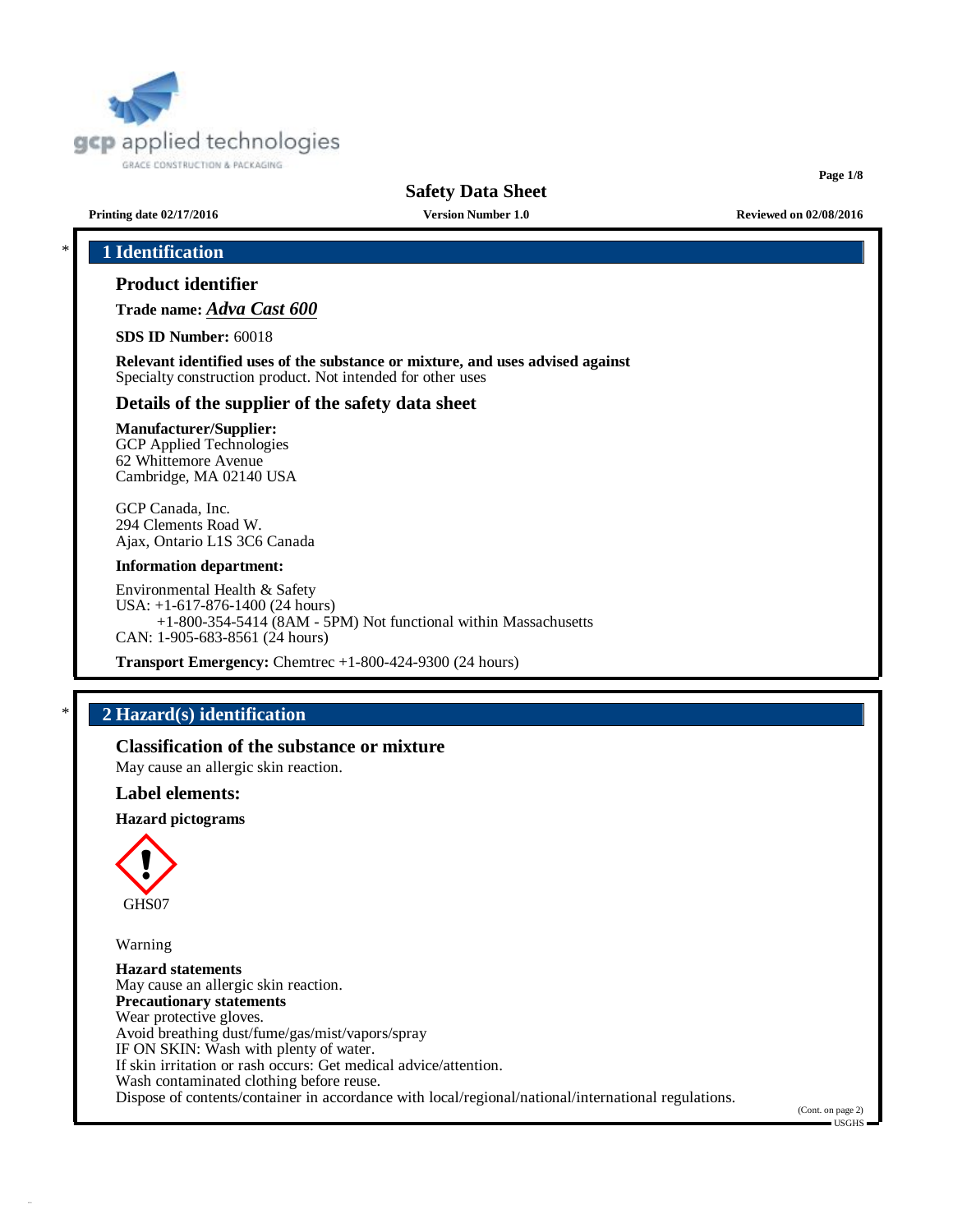

**Page 1/8**

**Printing date 02/17/2016 Version Number 1.0 Reviewed on 02/08/2016**

# \* **1 Identification**

## **Product identifier**

**Trade name:** *Adva Cast 600*

**SDS ID Number:** 60018

**Relevant identified uses of the substance or mixture, and uses advised against** Specialty construction product. Not intended for other uses

## **Details of the supplier of the safety data sheet**

## **Manufacturer/Supplier:**

GCP Applied Technologies 62 Whittemore Avenue Cambridge, MA 02140 USA

GCP Canada, Inc. 294 Clements Road W. Ajax, Ontario L1S 3C6 Canada

#### **Information department:**

Environmental Health & Safety USA: +1-617-876-1400 (24 hours) +1-800-354-5414 (8AM - 5PM) Not functional within Massachusetts CAN: 1-905-683-8561 (24 hours)

**Transport Emergency:** Chemtrec +1-800-424-9300 (24 hours)

## \* **2 Hazard(s) identification**

**Classification of the substance or mixture**

May cause an allergic skin reaction.

## **Label elements:**

**Hazard pictograms**



Warning

**Hazard statements** May cause an allergic skin reaction. **Precautionary statements** Wear protective gloves. Avoid breathing dust/fume/gas/mist/vapors/spray IF ON SKIN: Wash with plenty of water. If skin irritation or rash occurs: Get medical advice/attention. Wash contaminated clothing before reuse. Dispose of contents/container in accordance with local/regional/national/international regulations.

(Cont. on page 2)

 $=$  USGHS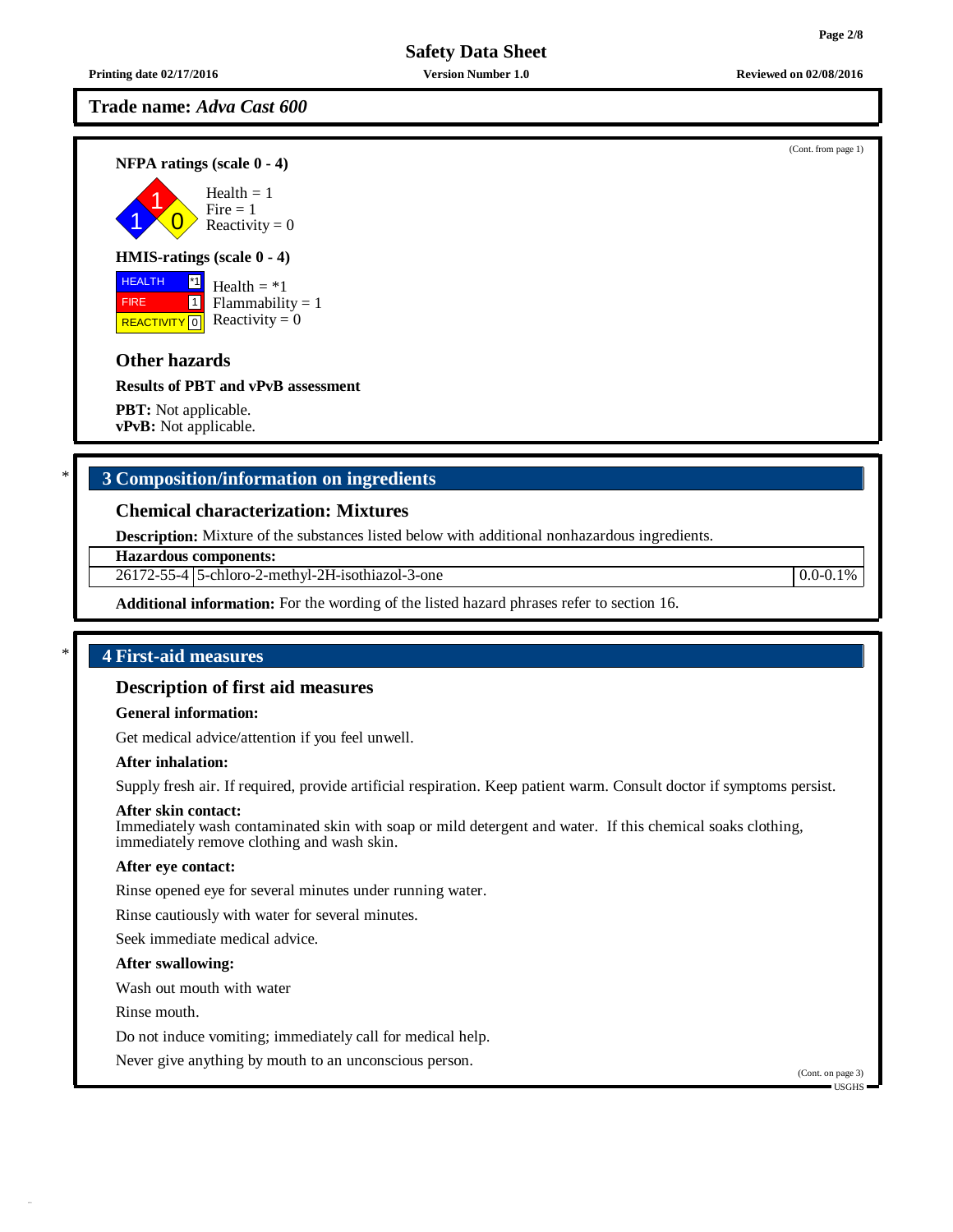**Printing date 02/17/2016 Version Number 1.0 Reviewed on 02/08/2016**

## **Trade name:** *Adva Cast 600*

**NFPA ratings (scale 0 - 4)**

1 1  $\overline{0}$ Health  $= 1$  $Fire = 1$ Reactivity  $= 0$ 

## **HMIS-ratings (scale 0 - 4)**

**HEALTH**  FIRE REACTIVITY  $\boxed{0}$  Reactivity = 0 \*1 1 Health  $= *1$  $Flammability = 1$ 

## **Other hazards**

**Results of PBT and vPvB assessment**

**PBT:** Not applicable. **vPvB:** Not applicable.

## \* **3 Composition/information on ingredients**

## **Chemical characterization: Mixtures**

**Description:** Mixture of the substances listed below with additional nonhazardous ingredients.

**Hazardous components:**

26172-55-4 5-chloro-2-methyl-2H-isothiazol-3-one 0.0-0.1%

**Additional information:** For the wording of the listed hazard phrases refer to section 16.

## \* **4 First-aid measures**

## **Description of first aid measures**

## **General information:**

Get medical advice/attention if you feel unwell.

### **After inhalation:**

Supply fresh air. If required, provide artificial respiration. Keep patient warm. Consult doctor if symptoms persist.

#### **After skin contact:**

Immediately wash contaminated skin with soap or mild detergent and water. If this chemical soaks clothing, immediately remove clothing and wash skin.

#### **After eye contact:**

Rinse opened eye for several minutes under running water.

Rinse cautiously with water for several minutes.

Seek immediate medical advice.

#### **After swallowing:**

Wash out mouth with water

Rinse mouth.

Do not induce vomiting; immediately call for medical help.

Never give anything by mouth to an unconscious person.

(Cont. on page 3) USGHS

(Cont. from page 1)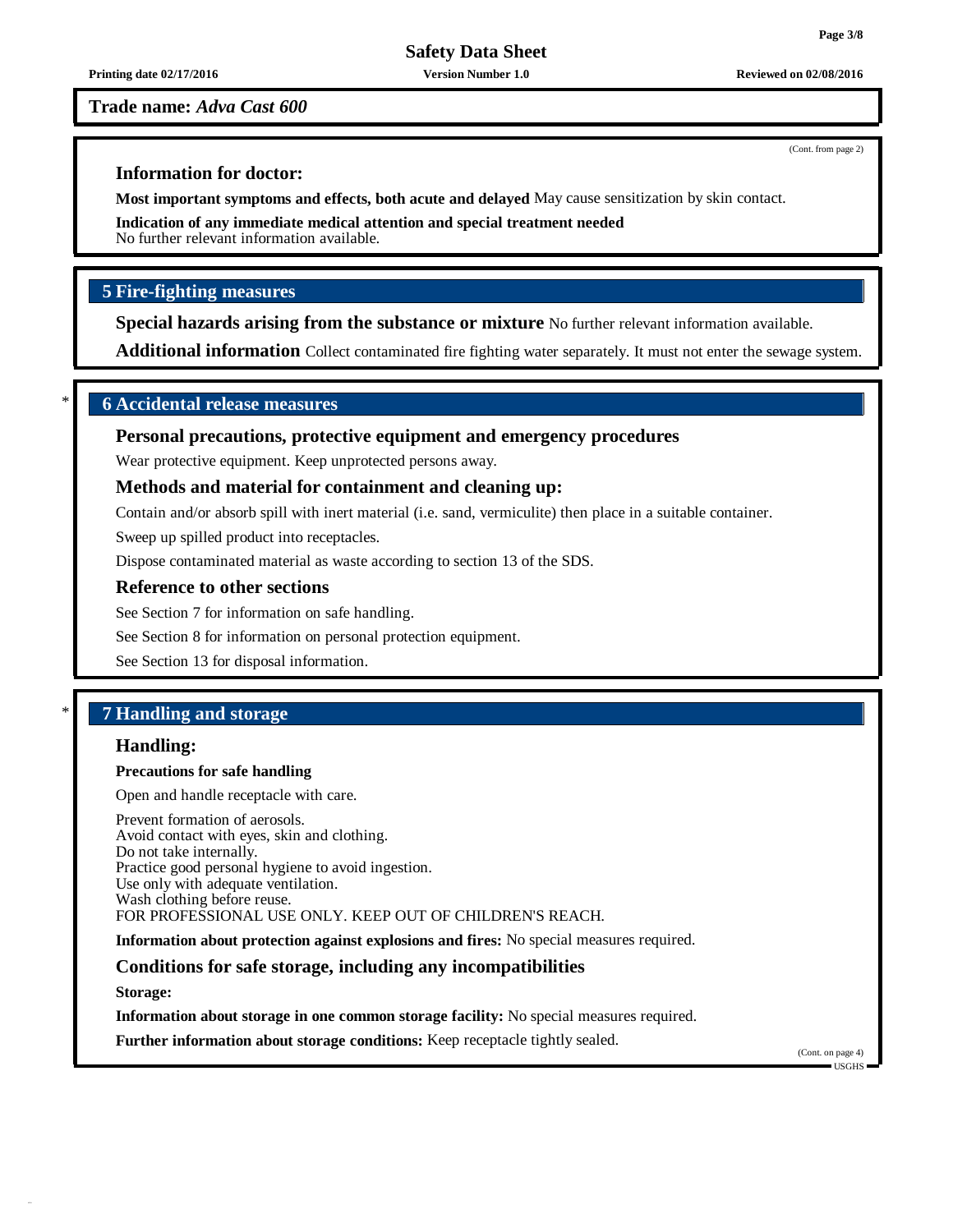**Printing date 02/17/2016 Version Number 1.0 Reviewed on 02/08/2016**

### **Trade name:** *Adva Cast 600*

## **Information for doctor:**

**Most important symptoms and effects, both acute and delayed** May cause sensitization by skin contact.

**Indication of any immediate medical attention and special treatment needed** No further relevant information available.

## **5 Fire-fighting measures**

**Special hazards arising from the substance or mixture** No further relevant information available.

**Additional information** Collect contaminated fire fighting water separately. It must not enter the sewage system.

## \* **6 Accidental release measures**

## **Personal precautions, protective equipment and emergency procedures**

Wear protective equipment. Keep unprotected persons away.

## **Methods and material for containment and cleaning up:**

Contain and/or absorb spill with inert material (i.e. sand, vermiculite) then place in a suitable container.

Sweep up spilled product into receptacles.

Dispose contaminated material as waste according to section 13 of the SDS.

## **Reference to other sections**

See Section 7 for information on safe handling.

See Section 8 for information on personal protection equipment.

See Section 13 for disposal information.

## \* **7 Handling and storage**

## **Handling:**

#### **Precautions for safe handling**

Open and handle receptacle with care.

Prevent formation of aerosols. Avoid contact with eyes, skin and clothing. Do not take internally. Practice good personal hygiene to avoid ingestion. Use only with adequate ventilation. Wash clothing before reuse. FOR PROFESSIONAL USE ONLY. KEEP OUT OF CHILDREN'S REACH.

**Information about protection against explosions and fires:** No special measures required.

## **Conditions for safe storage, including any incompatibilities**

**Storage:**

**Information about storage in one common storage facility:** No special measures required.

**Further information about storage conditions:** Keep receptacle tightly sealed.

(Cont. on page 4)  $\blacksquare$  USGHS

(Cont. from page 2)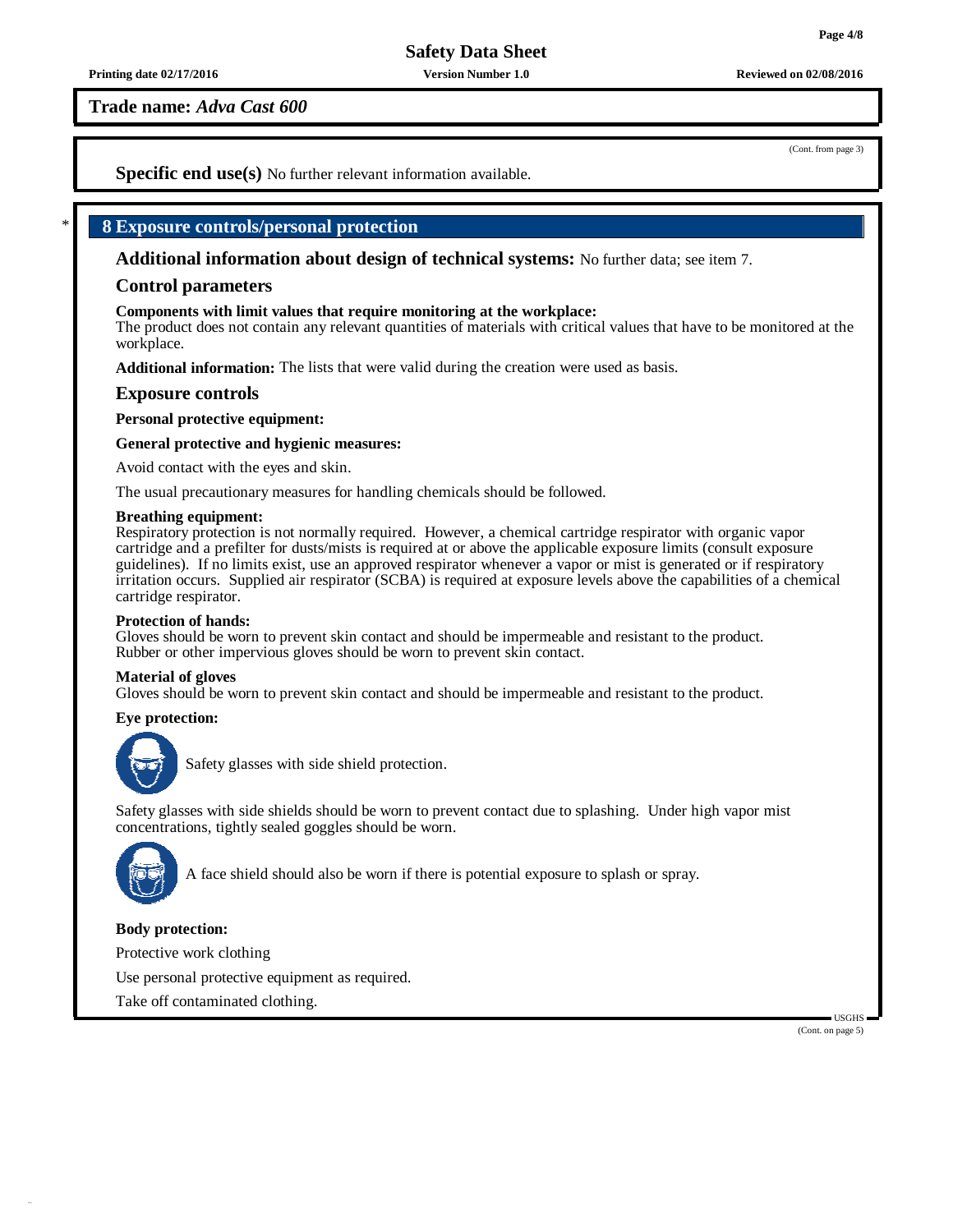**Printing date 02/17/2016 Version Number 1.0 Reviewed on 02/08/2016**

**Trade name:** *Adva Cast 600*

(Cont. from page 3)

**Specific end use(s)** No further relevant information available.

## \* **8 Exposure controls/personal protection**

**Additional information about design of technical systems:** No further data; see item 7.

## **Control parameters**

### **Components with limit values that require monitoring at the workplace:**

The product does not contain any relevant quantities of materials with critical values that have to be monitored at the workplace.

**Additional information:** The lists that were valid during the creation were used as basis.

## **Exposure controls**

**Personal protective equipment:**

### **General protective and hygienic measures:**

Avoid contact with the eyes and skin.

The usual precautionary measures for handling chemicals should be followed.

#### **Breathing equipment:**

Respiratory protection is not normally required. However, a chemical cartridge respirator with organic vapor cartridge and a prefilter for dusts/mists is required at or above the applicable exposure limits (consult exposure guidelines). If no limits exist, use an approved respirator whenever a vapor or mist is generated or if respiratory irritation occurs. Supplied air respirator (SCBA) is required at exposure levels above the capabilities of a chemical cartridge respirator.

#### **Protection of hands:**

Gloves should be worn to prevent skin contact and should be impermeable and resistant to the product. Rubber or other impervious gloves should be worn to prevent skin contact.

#### **Material of gloves**

Gloves should be worn to prevent skin contact and should be impermeable and resistant to the product.

## **Eye protection:**



Safety glasses with side shield protection.

Safety glasses with side shields should be worn to prevent contact due to splashing. Under high vapor mist concentrations, tightly sealed goggles should be worn.



A face shield should also be worn if there is potential exposure to splash or spray.

## **Body protection:**

Protective work clothing

Use personal protective equipment as required.

Take off contaminated clothing.

USGHS (Cont. on page 5)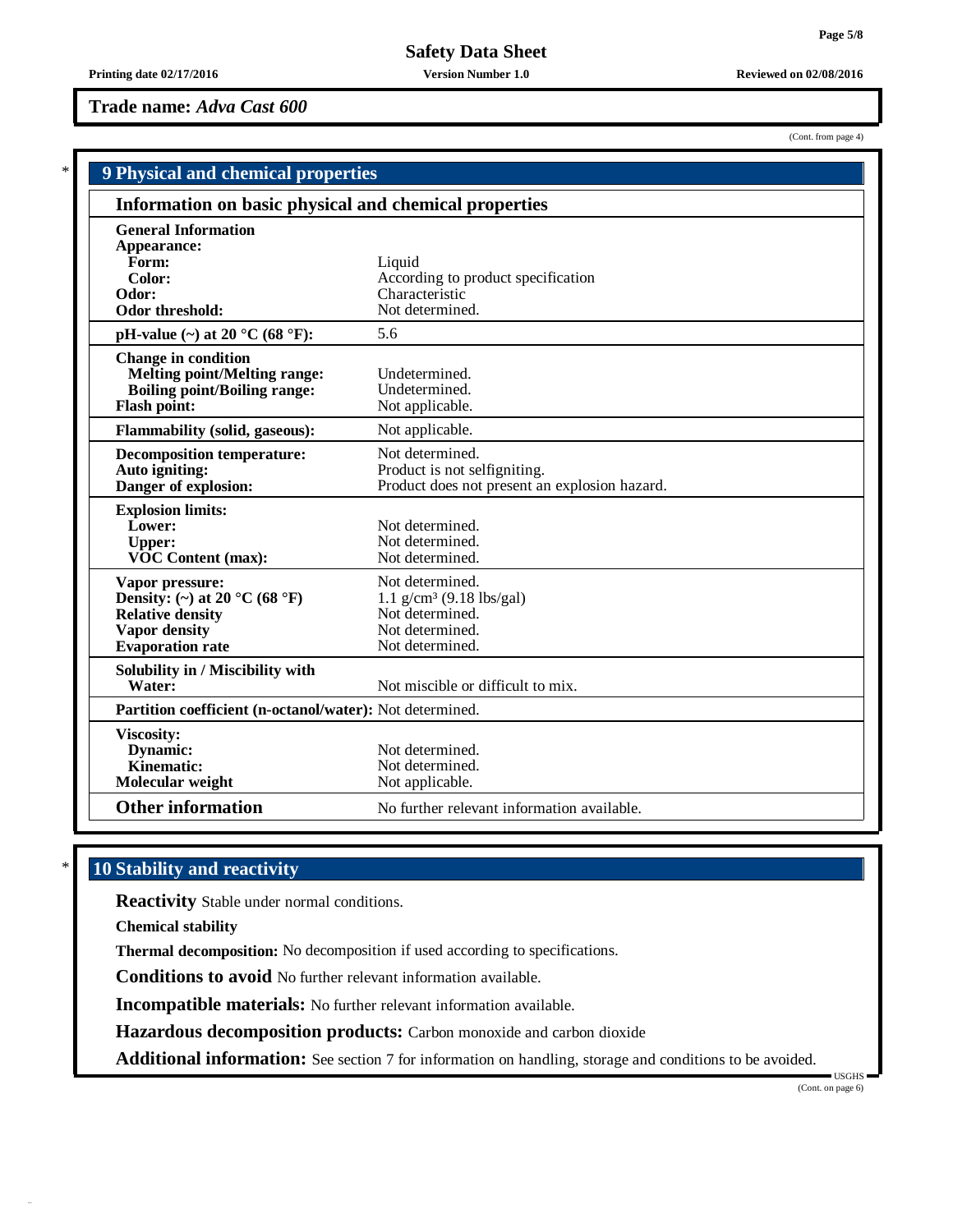(Cont. from page 4)

**Trade name:** *Adva Cast 600*

|                                                                                                                                 | 9 Physical and chemical properties                                                                                 |  |  |
|---------------------------------------------------------------------------------------------------------------------------------|--------------------------------------------------------------------------------------------------------------------|--|--|
| Information on basic physical and chemical properties                                                                           |                                                                                                                    |  |  |
| <b>General Information</b><br>Appearance:<br>Form:<br>Color:<br>Odor:<br>Odor threshold:                                        | Liquid<br>According to product specification<br>Characteristic<br>Not determined.                                  |  |  |
| pH-value $(\sim)$ at 20 °C (68 °F):                                                                                             | 5.6                                                                                                                |  |  |
| <b>Change in condition</b><br><b>Melting point/Melting range:</b><br><b>Boiling point/Boiling range:</b><br><b>Flash point:</b> | Undetermined.<br>Undetermined.<br>Not applicable.                                                                  |  |  |
| <b>Flammability (solid, gaseous):</b>                                                                                           | Not applicable.                                                                                                    |  |  |
| <b>Decomposition temperature:</b><br>Auto igniting:<br>Danger of explosion:                                                     | Not determined.<br>Product is not selfigniting.<br>Product does not present an explosion hazard.                   |  |  |
| <b>Explosion limits:</b><br>Lower:<br><b>Upper:</b><br><b>VOC Content (max):</b>                                                | Not determined.<br>Not determined.<br>Not determined.                                                              |  |  |
| Vapor pressure:<br>Density: (~) at 20 °C (68 °F)<br><b>Relative density</b><br>Vapor density<br><b>Evaporation rate</b>         | Not determined.<br>$1.1$ g/cm <sup>3</sup> (9.18 lbs/gal)<br>Not determined.<br>Not determined.<br>Not determined. |  |  |
| Solubility in / Miscibility with<br>Water:                                                                                      | Not miscible or difficult to mix.                                                                                  |  |  |
| Partition coefficient (n-octanol/water): Not determined.                                                                        |                                                                                                                    |  |  |
| <b>Viscosity:</b><br>Dynamic:<br>Kinematic:<br>Molecular weight                                                                 | Not determined.<br>Not determined.<br>Not applicable.                                                              |  |  |
| <b>Other information</b>                                                                                                        | No further relevant information available.                                                                         |  |  |

# \* **10 Stability and reactivity**

**Reactivity** Stable under normal conditions.

**Chemical stability**

**Thermal decomposition:** No decomposition if used according to specifications.

**Conditions to avoid** No further relevant information available.

**Incompatible materials:** No further relevant information available.

**Hazardous decomposition products:** Carbon monoxide and carbon dioxide

**Additional information:** See section 7 for information on handling, storage and conditions to be avoided.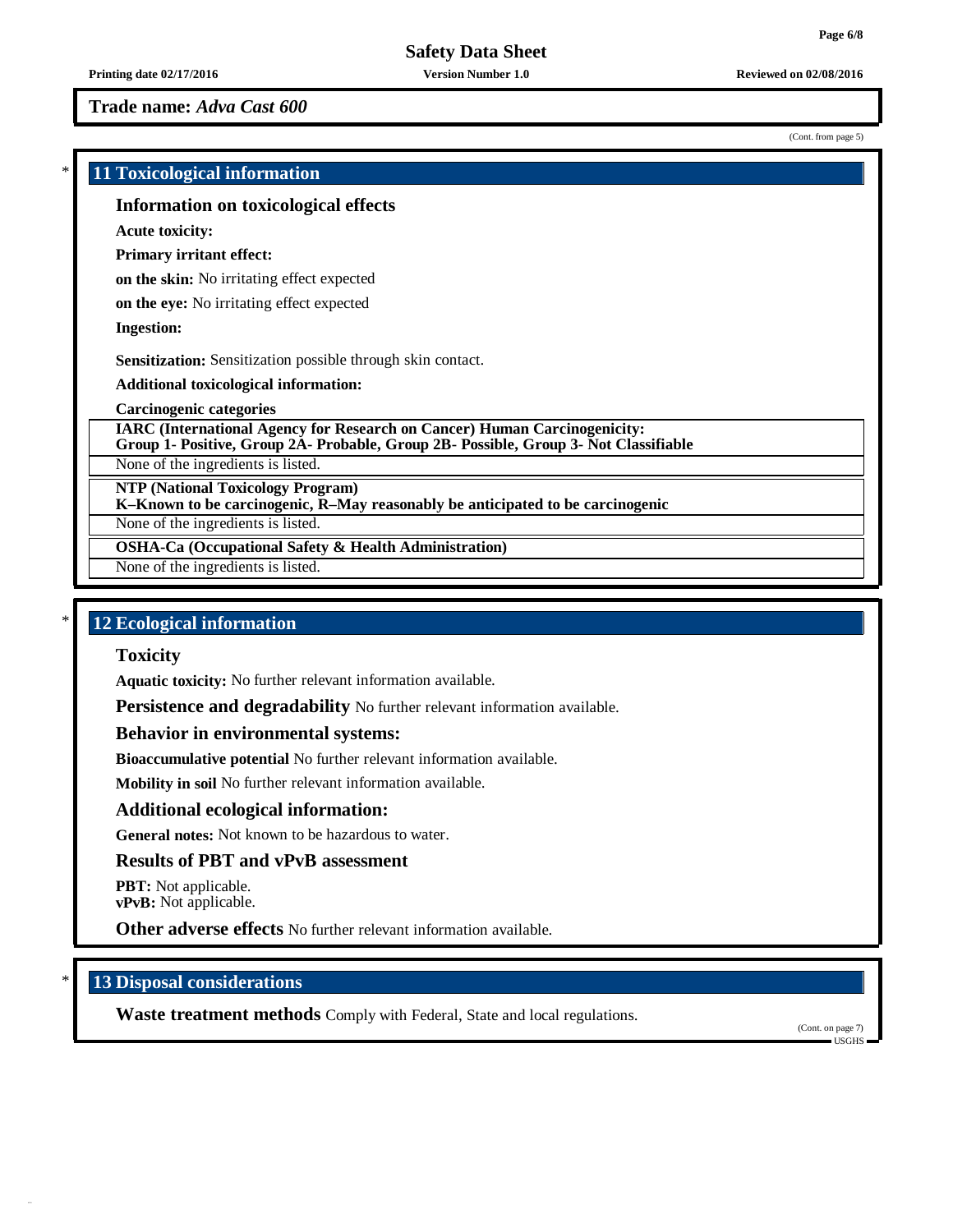**Printing date 02/17/2016 Version Number 1.0 Reviewed on 02/08/2016**

**Trade name:** *Adva Cast 600*

(Cont. from page 5)

# \* **11 Toxicological information Information on toxicological effects Acute toxicity: Primary irritant effect: on the skin:** No irritating effect expected **on the eye:** No irritating effect expected **Ingestion: Sensitization:** Sensitization possible through skin contact. **Additional toxicological information: Carcinogenic categories IARC (International Agency for Research on Cancer) Human Carcinogenicity: Group 1- Positive, Group 2A- Probable, Group 2B- Possible, Group 3- Not Classifiable** None of the ingredients is listed. **NTP (National Toxicology Program) K–Known to be carcinogenic, R–May reasonably be anticipated to be carcinogenic** None of the ingredients is listed. **OSHA-Ca (Occupational Safety & Health Administration)** None of the ingredients is listed.

# \* **12 Ecological information**

## **Toxicity**

**Aquatic toxicity:** No further relevant information available.

**Persistence and degradability** No further relevant information available.

## **Behavior in environmental systems:**

**Bioaccumulative potential** No further relevant information available.

**Mobility in soil** No further relevant information available.

## **Additional ecological information:**

**General notes:** Not known to be hazardous to water.

## **Results of PBT and vPvB assessment**

**PBT:** Not applicable.

**vPvB:** Not applicable.

**Other adverse effects** No further relevant information available.

## \* **13 Disposal considerations**

**Waste treatment methods** Comply with Federal, State and local regulations.

(Cont. on page 7) USGHS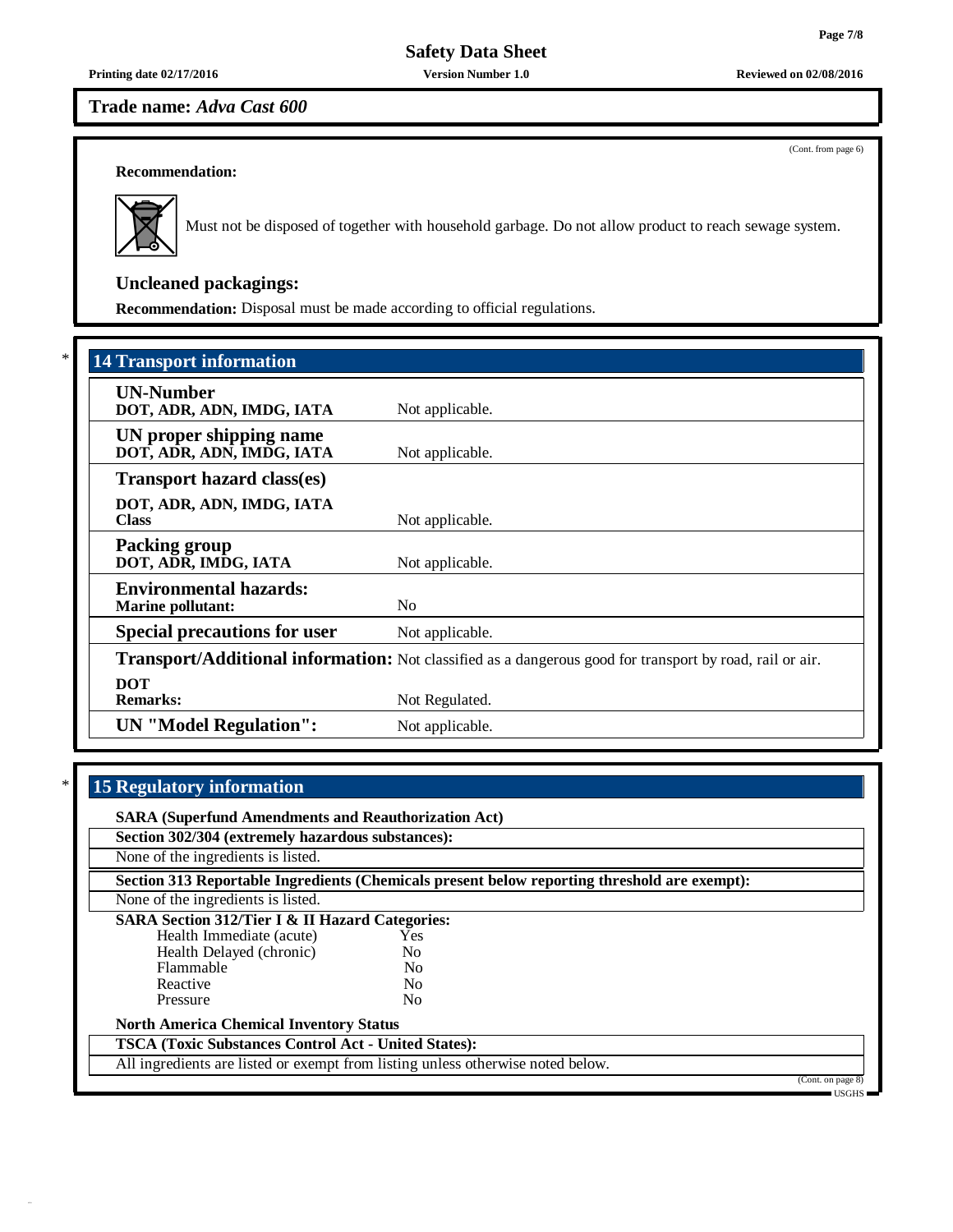**Printing date 02/17/2016 Version Number 1.0 Reviewed on 02/08/2016**

# **Trade name:** *Adva Cast 600*

(Cont. from page 6)

## **Recommendation:**



Must not be disposed of together with household garbage. Do not allow product to reach sewage system.

# **Uncleaned packagings:**

**Recommendation:** Disposal must be made according to official regulations.

| <b>14 Transport information</b>                           |                                                                                                          |  |  |
|-----------------------------------------------------------|----------------------------------------------------------------------------------------------------------|--|--|
| <b>UN-Number</b><br>DOT, ADR, ADN, IMDG, IATA             | Not applicable.                                                                                          |  |  |
| UN proper shipping name<br>DOT, ADR, ADN, IMDG, IATA      | Not applicable.                                                                                          |  |  |
| <b>Transport hazard class(es)</b>                         |                                                                                                          |  |  |
| DOT, ADR, ADN, IMDG, IATA<br><b>Class</b>                 | Not applicable.                                                                                          |  |  |
| <b>Packing group</b><br>DOT, ADR, IMDG, IATA              | Not applicable.                                                                                          |  |  |
| <b>Environmental hazards:</b><br><b>Marine pollutant:</b> | N <sub>0</sub>                                                                                           |  |  |
| <b>Special precautions for user</b>                       | Not applicable.                                                                                          |  |  |
|                                                           | Transport/Additional information: Not classified as a dangerous good for transport by road, rail or air. |  |  |
| <b>DOT</b><br><b>Remarks:</b>                             | Not Regulated.                                                                                           |  |  |
| <b>UN</b> "Model Regulation":                             | Not applicable.                                                                                          |  |  |

# \* **15 Regulatory information**

| <b>SARA (Superfund Amendments and Reauthorization Act)</b>                      |                |                                                                                              |                   |
|---------------------------------------------------------------------------------|----------------|----------------------------------------------------------------------------------------------|-------------------|
| Section 302/304 (extremely hazardous substances):                               |                |                                                                                              |                   |
| None of the ingredients is listed.                                              |                |                                                                                              |                   |
|                                                                                 |                | Section 313 Reportable Ingredients (Chemicals present below reporting threshold are exempt): |                   |
| None of the ingredients is listed.                                              |                |                                                                                              |                   |
| <b>SARA Section 312/Tier I &amp; II Hazard Categories:</b>                      |                |                                                                                              |                   |
| Health Immediate (acute)                                                        | Yes            |                                                                                              |                   |
| Health Delayed (chronic)                                                        | N <sub>0</sub> |                                                                                              |                   |
| Flammable                                                                       | N <sub>0</sub> |                                                                                              |                   |
| Reactive                                                                        | N <sub>0</sub> |                                                                                              |                   |
| Pressure                                                                        | N <sub>0</sub> |                                                                                              |                   |
| <b>North America Chemical Inventory Status</b>                                  |                |                                                                                              |                   |
| <b>TSCA (Toxic Substances Control Act - United States):</b>                     |                |                                                                                              |                   |
| All ingredients are listed or exempt from listing unless otherwise noted below. |                |                                                                                              |                   |
|                                                                                 |                |                                                                                              | (Cont. on page 8) |
|                                                                                 |                |                                                                                              | = USGHS =         |